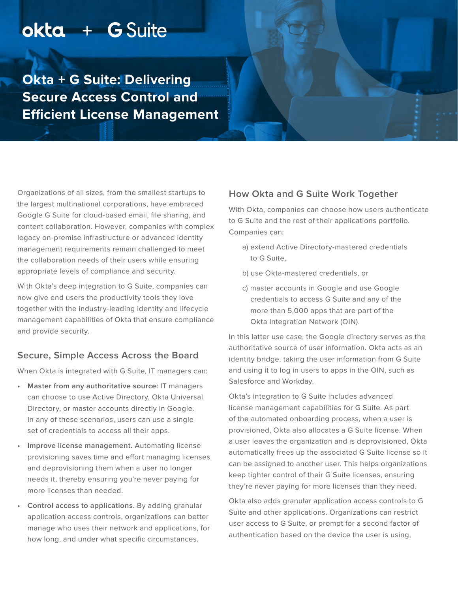# okta + G Suite

**Okta + G Suite: Delivering Secure Access Control and Efficient License Management**

Organizations of all sizes, from the smallest startups to the largest multinational corporations, have embraced Google G Suite for cloud-based email, file sharing, and content collaboration. However, companies with complex legacy on-premise infrastructure or advanced identity management requirements remain challenged to meet the collaboration needs of their users while ensuring appropriate levels of compliance and security.

With Okta's deep integration to G Suite, companies can now give end users the productivity tools they love together with the industry-leading identity and lifecycle management capabilities of Okta that ensure compliance and provide security.

#### **Secure, Simple Access Across the Board**

When Okta is integrated with G Suite, IT managers can:

- **• Master from any authoritative source:** IT managers can choose to use Active Directory, Okta Universal Directory, or master accounts directly in Google. In any of these scenarios, users can use a single set of credentials to access all their apps.
- **• Improve license management.** Automating license provisioning saves time and effort managing licenses and deprovisioning them when a user no longer needs it, thereby ensuring you're never paying for more licenses than needed.
- **• Control access to applications.** By adding granular application access controls, organizations can better manage who uses their network and applications, for how long, and under what specific circumstances.

### **How Okta and G Suite Work Together**

With Okta, companies can choose how users authenticate to G Suite and the rest of their applications portfolio. Companies can:

- a) extend Active Directory-mastered credentials to G Suite,
- b) use Okta-mastered credentials, or
- c) master accounts in Google and use Google credentials to access G Suite and any of the more than 5,000 apps that are part of the Okta Integration Network (OIN).

In this latter use case, the Google directory serves as the authoritative source of user information. Okta acts as an identity bridge, taking the user information from G Suite and using it to log in users to apps in the OIN, such as Salesforce and Workday.

Okta's integration to G Suite includes advanced license management capabilities for G Suite. As part of the automated onboarding process, when a user is provisioned, Okta also allocates a G Suite license. When a user leaves the organization and is deprovisioned, Okta automatically frees up the associated G Suite license so it can be assigned to another user. This helps organizations keep tighter control of their G Suite licenses, ensuring they're never paying for more licenses than they need.

Okta also adds granular application access controls to G Suite and other applications. Organizations can restrict user access to G Suite, or prompt for a second factor of authentication based on the device the user is using,